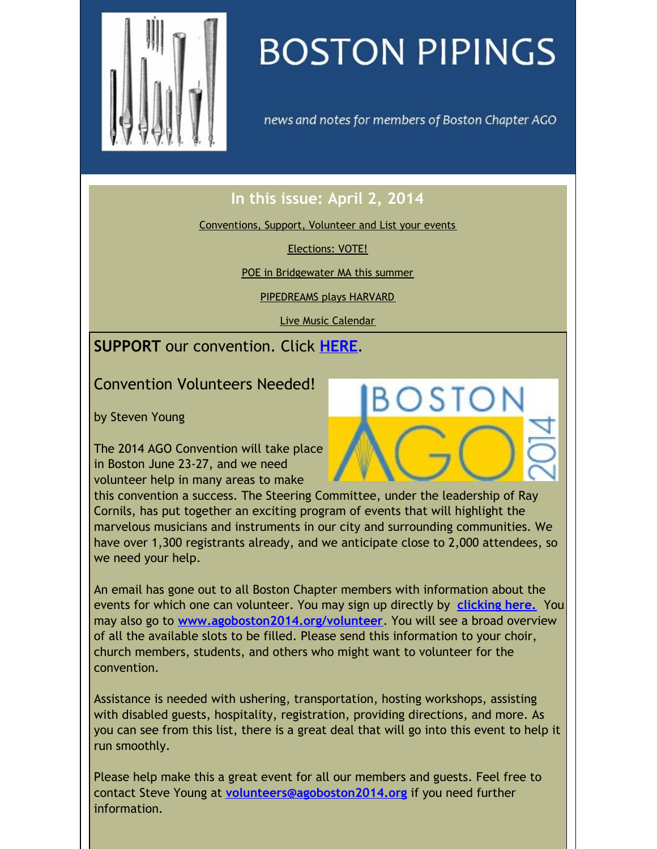<span id="page-0-0"></span>

# **BOSTON PIPINGS**

news and notes for members of Boston Chapter AGO

## **In this issue: April 2, 2014**

[Conventions,](#page-0-0) Support, Volunteer and List your events

[Elections:](#page-0-0) VOTE!

POE in [Bridgewater](#page-0-0) MA this summer

[PIPEDREAMS](#page-0-0) plays HARVARD

Live Music [Calendar](#page-0-0)

### **SUPPORT** our convention. Click **[HERE](http://www.agoboston2014.org/support/)**.

Convention Volunteers Needed!

by Steven Young

The 2014 AGO Convention will take place in Boston June 23-27, and we need volunteer help in many areas to make

this convention a success. The Steering Committee, under the leadership of Ray Cornils, has put together an exciting program of events that will highlight the marvelous musicians and instruments in our city and surrounding communities. We have over 1,300 registrants already, and we anticipate close to 2,000 attendees, so we need your help.

An email has gone out to all Boston Chapter members with information about the events for which one can volunteer. You may sign up directly by **[clicking](http://www.signupgenius.com/go/10C0E4DAFA82DA3FB6-convention) here.** You may also go to **[www.agoboston2014.org/volunteer](http://www.agoboston2014.org/volunteer)**. You will see a broad overview of all the available slots to be filled. Please send this information to your choir, church members, students, and others who might want to volunteer for the convention.

Assistance is needed with ushering, transportation, hosting workshops, assisting with disabled guests, hospitality, registration, providing directions, and more. As you can see from this list, there is a great deal that will go into this event to help it run smoothly.

Please help make this a great event for all our members and guests. Feel free to contact Steve Young at **[volunteers@agoboston2014.org](mailto:volunteers@agoboston2014.org)** if you need further information.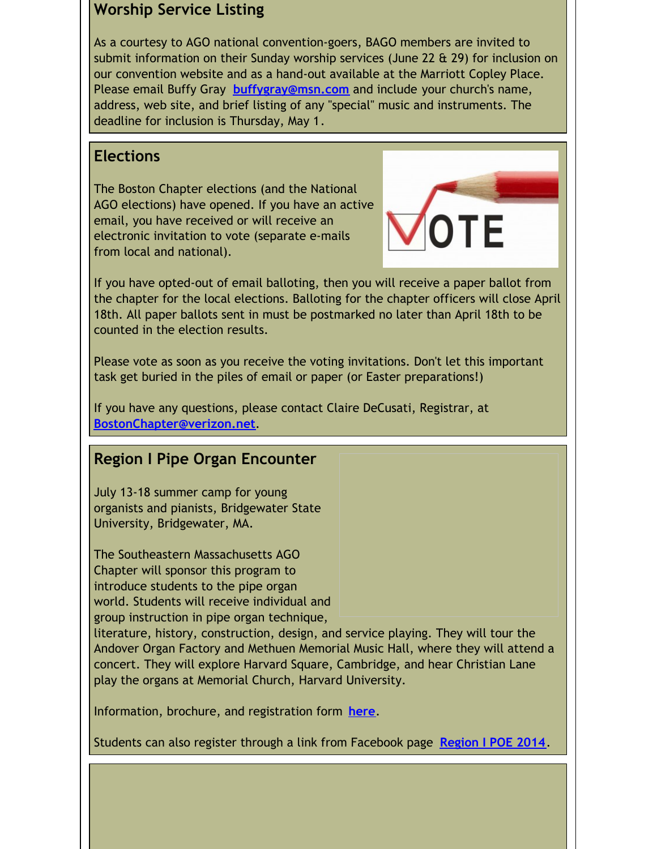#### **Worship Service Listing**

As a courtesy to AGO national convention-goers, BAGO members are invited to submit information on their Sunday worship services (June 22 & 29) for inclusion on our convention website and as a hand-out available at the Marriott Copley Place. Please email Buffy Gray **[buffygray@msn.com](mailto:buffygray@msn.com)** and include your church's name, address, web site, and brief listing of any "special" music and instruments. The deadline for inclusion is Thursday, May 1.

#### **Elections**

The Boston Chapter elections (and the National AGO elections) have opened. If you have an active email, you have received or will receive an electronic invitation to vote (separate e-mails from local and national).

If you have opted-out of email balloting, then you will receive a paper ballot from the chapter for the local elections. Balloting for the chapter officers will close April 18th. All paper ballots sent in must be postmarked no later than April 18th to be counted in the election results.

Please vote as soon as you receive the voting invitations. Don't let this important task get buried in the piles of email or paper (or Easter preparations!)

If you have any questions, please contact Claire DeCusati, Registrar, at **[BostonChapter@verizon.net](mailto:BostonChapter@verizon.net)**.

#### **Region I Pipe Organ Encounter**

July 13-18 summer camp for young organists and pianists, Bridgewater State University, Bridgewater, MA.

The Southeastern Massachusetts AGO Chapter will sponsor this program to introduce students to the pipe organ world. Students will receive individual and group instruction in pipe organ technique,

literature, history, construction, design, and service playing. They will tour the Andover Organ Factory and Methuen Memorial Music Hall, where they will attend a concert. They will explore Harvard Square, Cambridge, and hear Christian Lane play the organs at Memorial Church, Harvard University.

Information, brochure, and registration form **[here](http://www.agohq.org/wp-content/uploads/2014/02/se-ma-2014-poe-brochure.pdf)**.

Students can also register through a link from Facebook page **[Region](https://www.facebook.com/RegionIPOE2014) I POE 2014**.